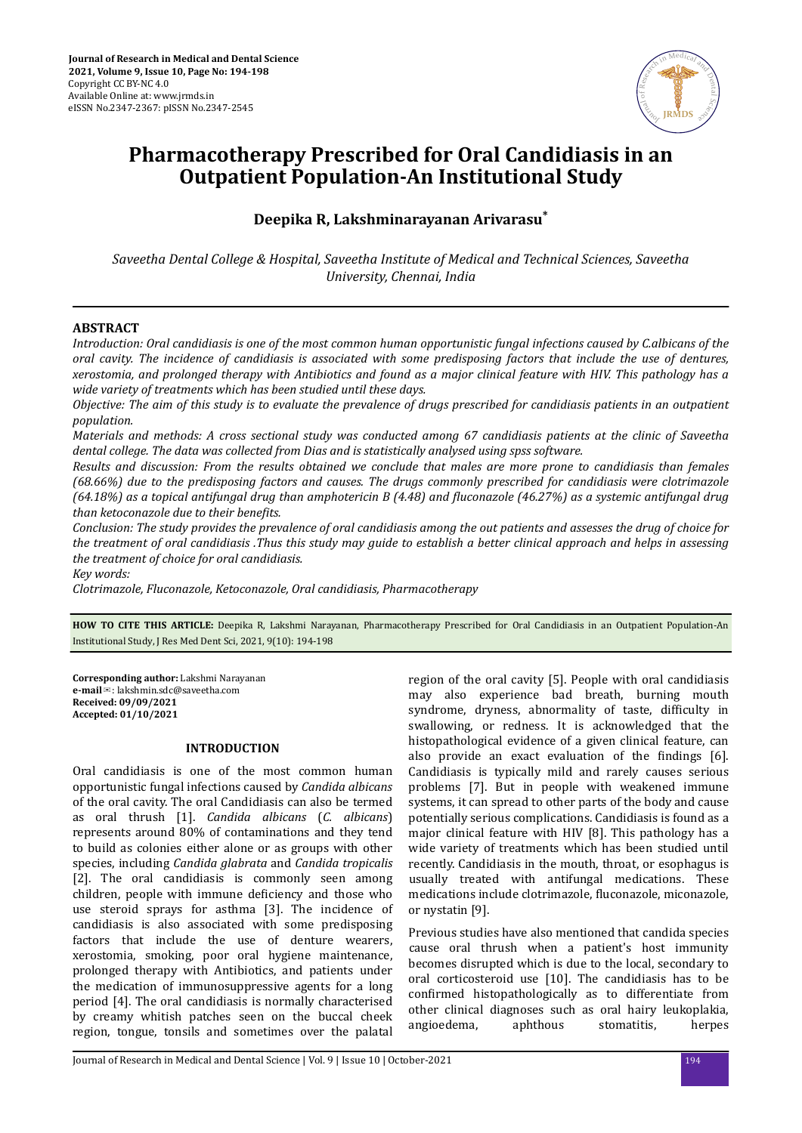

# **Pharmacotherapy Prescribed for Oral Candidiasis in an Outpatient Population-An Institutional Study**

**Deepika R, Lakshminarayanan Arivarasu\***

*Saveetha Dental College & Hospital, Saveetha Institute of Medical and Technical Sciences, Saveetha University, Chennai, India*

# **ABSTRACT**

*Introduction: Oral candidiasis is one of the most common human opportunistic fungal infections caused by C.albicans of the oral cavity. The incidence of candidiasis is associated with some predisposing factors that include the use of dentures, xerostomia, and prolonged therapy with Antibiotics and found as a major clinical feature with HIV. This pathology has a wide variety of treatments which has been studied until these days.*

*Objective: The aim of this study is to evaluate the prevalence of drugs prescribed for candidiasis patients in an outpatient population.*

*Materials and methods: A cross sectional study was conducted among 67 candidiasis patients at the clinic of Saveetha dental college. The data was collected from Dias and is statistically analysed using spss software.*

*Results and discussion: From the results obtained we conclude that males are more prone to candidiasis than females (68.66%) due to the predisposing factors and causes. The drugs commonly prescribed for candidiasis were clotrimazole (64.18%) as a topical antifungal drug than amphotericin B (4.48) and fluconazole (46.27%) as a systemic antifungal drug than ketoconazole due to their benefits.* 

*Conclusion: The study provides the prevalence of oral candidiasis among the out patients and assesses the drug of choice for the treatment of oral candidiasis .Thus this study may guide to establish a better clinical approach and helps in assessing the treatment of choice for oral candidiasis.*

*Key words:*

*Clotrimazole, Fluconazole, Ketoconazole, Oral candidiasis, Pharmacotherapy*

**HOW TO CITE THIS ARTICLE:** Deepika R, Lakshmi Narayanan, Pharmacotherapy Prescribed for Oral Candidiasis in an Outpatient Population-An Institutional Study, J Res Med Dent Sci, 2021, 9(10): 194-198

**Corresponding author:** Lakshmi Narayanan **e-mail**✉: lakshmin.sdc@saveetha.com **Received: 09/09/2021 Accepted: 01/10/2021** 

# **INTRODUCTION**

Oral candidiasis is one of the most common human opportunistic fungal infections caused by *Candida albicans* of the oral cavity. The oral Candidiasis can also be termed as oral thrush [1]. *Candida albicans* (*C. albicans*) represents around 80% of contaminations and they tend to build as colonies either alone or as groups with other species, including *Candida glabrata* and *Candida tropicalis* [2]. The oral candidiasis is commonly seen among children, people with immune deficiency and those who use steroid sprays for asthma [3]. The incidence of candidiasis is also associated with some predisposing factors that include the use of denture wearers, xerostomia, smoking, poor oral hygiene maintenance, prolonged therapy with Antibiotics, and patients under the medication of immunosuppressive agents for a long period [4]. The oral candidiasis is normally characterised by creamy whitish patches seen on the buccal cheek region, tongue, tonsils and sometimes over the palatal

region of the oral cavity [5]. People with oral candidiasis may also experience bad breath, burning mouth syndrome, dryness, abnormality of taste, difficulty in swallowing, or redness. It is acknowledged that the histopathological evidence of a given clinical feature, can also provide an exact evaluation of the findings [6]. Candidiasis is typically mild and rarely causes serious problems [7]. But in people with weakened immune systems, it can spread to other parts of the body and cause potentially serious complications. Candidiasis is found as a major clinical feature with HIV [8]. This pathology has a wide variety of treatments which has been studied until recently. Candidiasis in the mouth, throat, or esophagus is usually treated with antifungal medications. These medications include clotrimazole, fluconazole, miconazole, or nystatin [9].

Previous studies have also mentioned that candida species cause oral thrush when a patient's host immunity becomes disrupted which is due to the local, secondary to oral corticosteroid use [10]. The candidiasis has to be confirmed histopathologically as to differentiate from other clinical diagnoses such as oral hairy leukoplakia, angioedema, aphthous stomatitis, herpes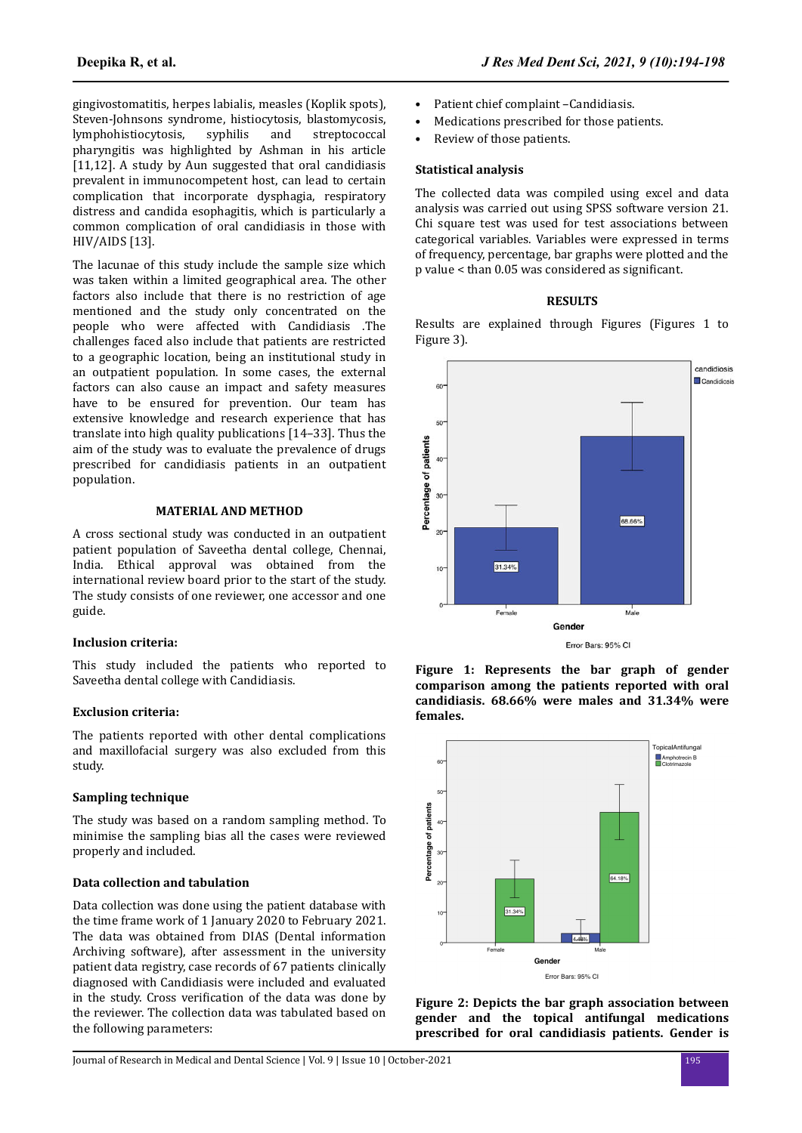gingivostomatitis, herpes labialis, measles (Koplik spots), Steven-Johnsons syndrome, histiocytosis, blastomycosis, lymphohistiocytosis, syphilis and streptococcal pharyngitis was highlighted by Ashman in his article [11,12]. A study by Aun suggested that oral candidiasis prevalent in immunocompetent host, can lead to certain complication that incorporate dysphagia, respiratory distress and candida esophagitis, which is particularly a common complication of oral candidiasis in those with HIV/AIDS [13].

The lacunae of this study include the sample size which was taken within a limited geographical area. The other factors also include that there is no restriction of age mentioned and the study only concentrated on the people who were affected with Candidiasis .The challenges faced also include that patients are restricted to a geographic location, being an institutional study in an outpatient population. In some cases, the external factors can also cause an impact and safety measures have to be ensured for prevention. Our team has extensive knowledge and research experience that has translate into high quality publications [14–33]. Thus the aim of the study was to evaluate the prevalence of drugs prescribed for candidiasis patients in an outpatient population.

## **MATERIAL AND METHOD**

A cross sectional study was conducted in an outpatient patient population of Saveetha dental college, Chennai, India. Ethical approval was obtained from the international review board prior to the start of the study. The study consists of one reviewer, one accessor and one guide.

## **Inclusion criteria:**

This study included the patients who reported to Saveetha dental college with Candidiasis.

#### **Exclusion criteria:**

The patients reported with other dental complications and maxillofacial surgery was also excluded from this study.

## **Sampling technique**

The study was based on a random sampling method. To minimise the sampling bias all the cases were reviewed properly and included.

# **Data collection and tabulation**

Data collection was done using the patient database with the time frame work of 1 January 2020 to February 2021. The data was obtained from DIAS (Dental information Archiving software), after assessment in the university patient data registry, case records of 67 patients clinically diagnosed with Candidiasis were included and evaluated in the study. Cross verification of the data was done by the reviewer. The collection data was tabulated based on the following parameters:

- Patient chief complaint -Candidiasis.
- Medications prescribed for those patients.
- Review of those patients.

## **Statistical analysis**

The collected data was compiled using excel and data analysis was carried out using SPSS software version 21. Chi square test was used for test associations between categorical variables. Variables were expressed in terms of frequency, percentage, bar graphs were plotted and the p value < than 0.05 was considered as significant.

## **RESULTS**

Results are explained through Figures (Figures 1 to Figure 3).







**Figure 2: Depicts the bar graph association between gender and the topical antifungal medications prescribed for oral candidiasis patients. Gender is**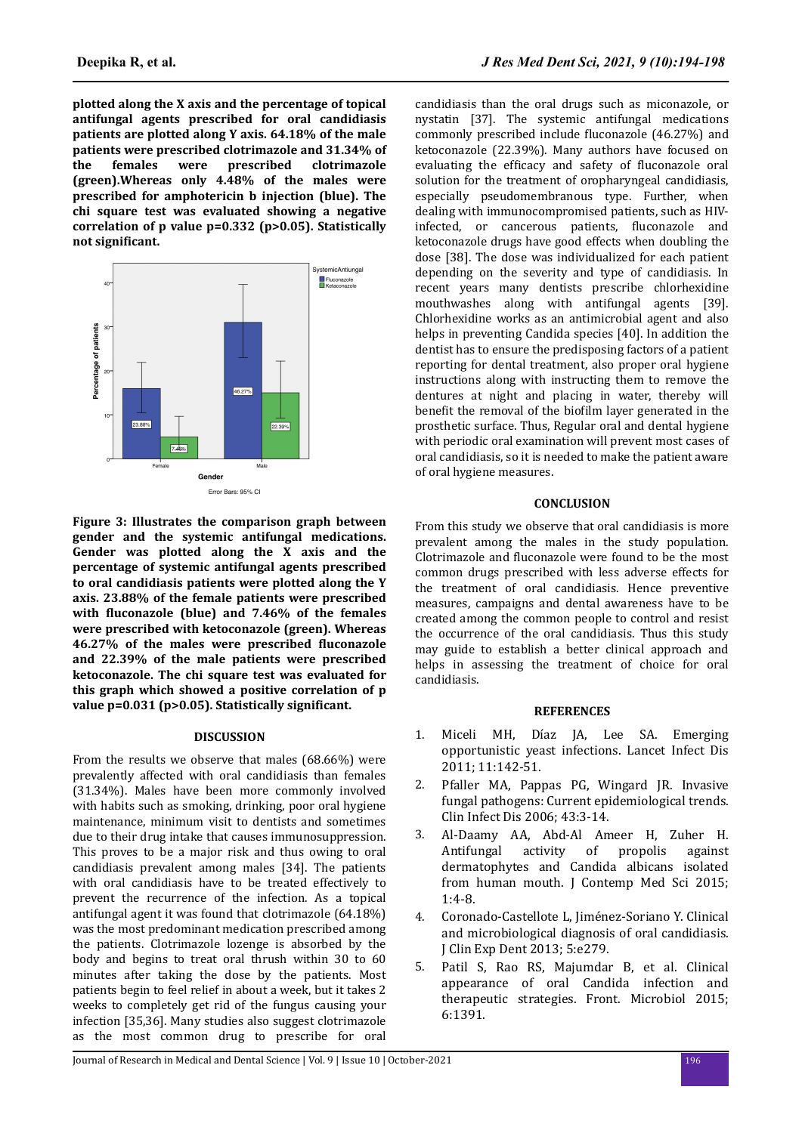**plotted along the X axis and the percentage of topical antifungal agents prescribed for oral candidiasis patients are plotted along Y axis. 64.18% of the male patients were prescribed clotrimazole and 31.34% of the females were prescribed clotrimazole (green).Whereas only 4.48% of the males were prescribed for amphotericin b injection (blue). The chi square test was evaluated showing a negative correlation of p value p=0.332 (p>0.05). Statistically not significant.** 



**Figure 3: Illustrates the comparison graph between gender and the systemic antifungal medications. Gender was plotted along the X axis and the percentage of systemic antifungal agents prescribed to oral candidiasis patients were plotted along the Y axis. 23.88% of the female patients were prescribed** with **fluconazole** (blue) and 7.46% of the females **were prescribed with ketoconazole (green). Whereas 46.27% of the males were prescribed fluconazole and 22.39% of the male patients were prescribed ketoconazole. The chi square test was evaluated for this graph which showed a positive correlation of p value p=0.031 (p>0.05). Statistically significant.** 

## **DISCUSSION**

From the results we observe that males (68.66%) were prevalently affected with oral candidiasis than females (31.34%). Males have been more commonly involved with habits such as smoking, drinking, poor oral hygiene maintenance, minimum visit to dentists and sometimes due to their drug intake that causes immunosuppression. This proves to be a major risk and thus owing to oral candidiasis prevalent among males [34]. The patients with oral candidiasis have to be treated effectively to prevent the recurrence of the infection. As a topical antifungal agent it was found that clotrimazole (64.18%) was the most predominant medication prescribed among the patients. Clotrimazole lozenge is absorbed by the body and begins to treat oral thrush within 30 to 60 minutes after taking the dose by the patients. Most patients begin to feel relief in about a week, but it takes 2 weeks to completely get rid of the fungus causing your infection [35,36]. Many studies also suggest clotrimazole as the most common drug to prescribe for oral

candidiasis than the oral drugs such as miconazole, or nystatin [37]. The systemic antifungal medications commonly prescribed include fluconazole (46.27%) and ketoconazole (22.39%). Many authors have focused on evaluating the efficacy and safety of fluconazole oral solution for the treatment of oropharyngeal candidiasis, especially pseudomembranous type. Further, when dealing with immunocompromised patients, such as HIVinfected, or cancerous patients, fluconazole and ketoconazole drugs have good effects when doubling the dose [38]. The dose was individualized for each patient depending on the severity and type of candidiasis. In recent years many dentists prescribe chlorhexidine mouthwashes along with antifungal agents [39]. Chlorhexidine works as an antimicrobial agent and also helps in preventing Candida species [40]. In addition the dentist has to ensure the predisposing factors of a patient reporting for dental treatment, also proper oral hygiene instructions along with instructing them to remove the dentures at night and placing in water, thereby will benefit the removal of the biofilm layer generated in the prosthetic surface. Thus, Regular oral and dental hygiene with periodic oral examination will prevent most cases of oral candidiasis, so it is needed to make the patient aware of oral hygiene measures.

## **CONCLUSION**

From this study we observe that oral candidiasis is more prevalent among the males in the study population. Clotrimazole and fluconazole were found to be the most common drugs prescribed with less adverse effects for the treatment of oral candidiasis. Hence preventive measures, campaigns and dental awareness have to be created among the common people to control and resist the occurrence of the oral candidiasis. Thus this study may guide to establish a better clinical approach and helps in assessing the treatment of choice for oral candidiasis.

## **REFERENCES**

- 1. Miceli MH, Díaz [JA, Lee SA. Emerging](https://doi.org/10.1016/s1473-3099(10)70218-8) [opportunistic yeast infections. Lancet Infect Dis](https://doi.org/10.1016/s1473-3099(10)70218-8) [2011; 11:142-51.](https://doi.org/10.1016/s1473-3099(10)70218-8)
- 2. [Pfaller MA, Pappas PG, Wingard JR. Invasive](https://doi.org/10.1086/504490) [fungal pathogens: Current epidemiological trends.](https://doi.org/10.1086/504490) [Clin Infect Dis 2006; 43:3-14.](https://doi.org/10.1086/504490)
- 3. [Al-Daamy AA, Abd-Al Ameer H, Zuher H.](http://www.jocms.org/index.php/jcms/article/view/26) [Antifungal activity of propolis against](http://www.jocms.org/index.php/jcms/article/view/26) [dermatophytes and Candida albicans isolated](http://www.jocms.org/index.php/jcms/article/view/26) [from human mouth. J Contemp Med Sci 2015;](http://www.jocms.org/index.php/jcms/article/view/26) [1:4-8.](http://www.jocms.org/index.php/jcms/article/view/26)
- 4. [Coronado-Castellote L,](https://dx.doi.org/10.4317%2Fjced.51242) Jiménez-Soriano Y. Clinical [and microbiological diagnosis of oral candidiasis.](https://dx.doi.org/10.4317%2Fjced.51242) [J Clin Exp Dent 2013; 5:e279.](https://dx.doi.org/10.4317%2Fjced.51242)
- 5. [Patil S, Rao RS, Majumdar B, et al. Clinical](https://doi.org/10.3389/fmicb.2015.01391) [appearance of oral Candida infection and](https://doi.org/10.3389/fmicb.2015.01391) [therapeutic strategies. Front. Microbiol 2015;](https://doi.org/10.3389/fmicb.2015.01391) [6:1391.](https://doi.org/10.3389/fmicb.2015.01391)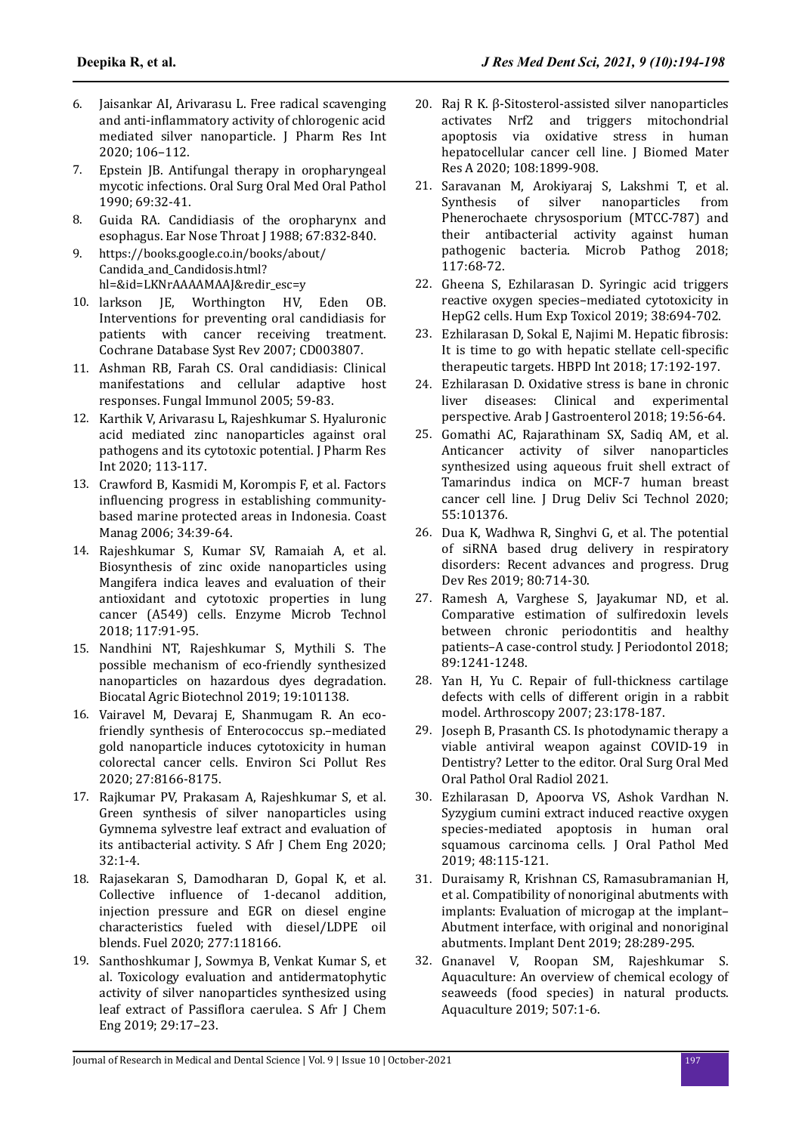- 6. [Jaisankar AI, Arivarasu L. Free radical scavenging](https://doi.org/10.9734/jpri/2020/v32i1930715) and anti-inflammatory [activity of chlorogenic acid](https://doi.org/10.9734/jpri/2020/v32i1930715) [mediated silver nanoparticle. J Pharm Res Int](https://doi.org/10.9734/jpri/2020/v32i1930715) [2020; 106–112.](https://doi.org/10.9734/jpri/2020/v32i1930715)
- 7. [Epstein JB. Antifungal therapy in oropharyngeal](https://doi.org/10.1016/0030-4220(90)90265-t) [mycotic infections. Oral Surg Oral Med Oral Pathol](https://doi.org/10.1016/0030-4220(90)90265-t) [1990; 69:32-41.](https://doi.org/10.1016/0030-4220(90)90265-t)
- 8. [Guida RA. Candidiasis of the oropharynx and](https://pubmed.ncbi.nlm.nih.gov/3073941/) [esophagus. Ear Nose Throat J 1988; 67:832-840.](https://pubmed.ncbi.nlm.nih.gov/3073941/)
- 9. https://books.google.co.in/books/about/ Candida\_and\_Candidosis.html? hl=&id=LKNrAAAAMAAJ&redir\_esc=y
- 10. [larkson JE, Worthington HV, Eden OB.](https://doi.org/10.1002/14651858.cd003807.pub3) [Interventions for preventing oral candidiasis for](https://doi.org/10.1002/14651858.cd003807.pub3) [patients with cancer receiving treatment.](https://doi.org/10.1002/14651858.cd003807.pub3) [Cochrane Database Syst Rev 2007; CD003807.](https://doi.org/10.1002/14651858.cd003807.pub3)
- 11. [Ashman RB, Farah CS. Oral candidiasis: Clinical](https://link.springer.com/chapter/10.1007/0-387-25445-5_4) [manifestations and cellular adaptive host](https://link.springer.com/chapter/10.1007/0-387-25445-5_4) [responses. Fungal Immunol 2005; 59-83.](https://link.springer.com/chapter/10.1007/0-387-25445-5_4)
- 12. [Karthik V, Arivarasu L, Rajeshkumar S. Hyaluronic](https://doi.org/10.9734/jpri/2020/v32i1930716) [acid mediated zinc nanoparticles against oral](https://doi.org/10.9734/jpri/2020/v32i1930716) [pathogens and its cytotoxic potential. J Pharm Res](https://doi.org/10.9734/jpri/2020/v32i1930716) [Int 2020; 113-117.](https://doi.org/10.9734/jpri/2020/v32i1930716)
- 13. [Crawford B, Kasmidi M, Korompis F, et al. Factors](https://doi.org/10.1080/08920750500379300) influencing [progress in establishing community](https://doi.org/10.1080/08920750500379300)[based marine protected areas in Indonesia. Coast](https://doi.org/10.1080/08920750500379300) [Manag 2006; 34:39-64.](https://doi.org/10.1080/08920750500379300)
- 14. [Rajeshkumar S, Kumar SV, Ramaiah A, et al.](https://doi.org/10.1016/j.enzmictec.2018.06.009) [Biosynthesis of zinc oxide nanoparticles using](https://doi.org/10.1016/j.enzmictec.2018.06.009) [Mangifera indica leaves and evaluation of their](https://doi.org/10.1016/j.enzmictec.2018.06.009) [antioxidant and cytotoxic properties in lung](https://doi.org/10.1016/j.enzmictec.2018.06.009) [cancer \(A549\) cells. Enzyme Microb Technol](https://doi.org/10.1016/j.enzmictec.2018.06.009) [2018; 117:91-95.](https://doi.org/10.1016/j.enzmictec.2018.06.009)
- 15. [Nandhini NT, Rajeshkumar S, Mythili S. The](https://doi.org/10.1016/j.bcab.2019.101138) [possible mechanism of eco-friendly synthesized](https://doi.org/10.1016/j.bcab.2019.101138) [nanoparticles on hazardous dyes degradation.](https://doi.org/10.1016/j.bcab.2019.101138) [Biocatal Agric Biotechnol 2019; 19:101138.](https://doi.org/10.1016/j.bcab.2019.101138)
- 16. [Vairavel M, Devaraj E, Shanmugam R. An eco](https://doi.org/10.1007/s11356-019-07511-x)[friendly synthesis of Enterococcus sp.–mediated](https://doi.org/10.1007/s11356-019-07511-x) [gold nanoparticle induces cytotoxicity in human](https://doi.org/10.1007/s11356-019-07511-x) [colorectal cancer cells. Environ Sci Pollut Res](https://doi.org/10.1007/s11356-019-07511-x) [2020; 27:8166-8175.](https://doi.org/10.1007/s11356-019-07511-x)
- 17. [Rajkumar PV, Prakasam A, Rajeshkumar S, et al.](https://doi.org/10.1016/j.sajce.2019.11.005) [Green synthesis of silver nanoparticles using](https://doi.org/10.1016/j.sajce.2019.11.005) [Gymnema sylvestre leaf extract and evaluation of](https://doi.org/10.1016/j.sajce.2019.11.005) [its antibacterial activity. S Afr J Chem Eng 2020;](https://doi.org/10.1016/j.sajce.2019.11.005) [32:1-4.](https://doi.org/10.1016/j.sajce.2019.11.005)
- 18. [Rajasekaran S, Damodharan D, Gopal K, et al.](https://doi.org/10.1016/j.fuel.2020.118166) Collective influence [of 1-decanol addition,](https://doi.org/10.1016/j.fuel.2020.118166) [injection pressure and EGR on diesel engine](https://doi.org/10.1016/j.fuel.2020.118166) [characteristics fueled with diesel/LDPE oil](https://doi.org/10.1016/j.fuel.2020.118166) [blends. Fuel 2020; 277:118166.](https://doi.org/10.1016/j.fuel.2020.118166)
- 19. [Santhoshkumar J, Sowmya B, Venkat Kumar S, et](https://doi.org/10.1016/j.sajce.2019.04.001) [al. Toxicology evaluation and antidermatophytic](https://doi.org/10.1016/j.sajce.2019.04.001) [activity of silver nanoparticles synthesized using](https://doi.org/10.1016/j.sajce.2019.04.001) leaf extract of Passiflora [caerulea. S Afr J Chem](https://doi.org/10.1016/j.sajce.2019.04.001) [Eng 2019; 29:17–23.](https://doi.org/10.1016/j.sajce.2019.04.001)
- 20. [Raj R K. β-Sitosterol-assisted silver nanoparticles](https://doi.org/10.1002/jbm.a.36953) [activates Nrf2 and triggers mitochondrial](https://doi.org/10.1002/jbm.a.36953) [apoptosis via oxidative stress in human](https://doi.org/10.1002/jbm.a.36953) [hepatocellular cancer cell line. J Biomed Mater](https://doi.org/10.1002/jbm.a.36953) [Res A 2020; 108:1899-908.](https://doi.org/10.1002/jbm.a.36953)
- 21. [Saravanan M, Arokiyaraj S, Lakshmi T, et al.](https://doi.org/10.1016/j.micpath.2018.02.008) [Synthesis of silver nanoparticles from](https://doi.org/10.1016/j.micpath.2018.02.008) [Phenerochaete chrysosporium \(MTCC-787\) and](https://doi.org/10.1016/j.micpath.2018.02.008) [their antibacterial activity against human](https://doi.org/10.1016/j.micpath.2018.02.008) [pathogenic bacteria. Microb Pathog 2018;](https://doi.org/10.1016/j.micpath.2018.02.008) [117:68-72.](https://doi.org/10.1016/j.micpath.2018.02.008)
- 22. [Gheena S, Ezhilarasan D. Syringic acid triggers](https://doi.org/10.1177/0960327119839173) [reactive oxygen species–mediated cytotoxicity in](https://doi.org/10.1177/0960327119839173) [HepG2 cells. Hum Exp Toxicol 2019; 38:694-702.](https://doi.org/10.1177/0960327119839173)
- 23. [Ezhilarasan D, Sokal E, Najimi M. Hepatic](https://doi.org/10.1016/j.hbpd.2018.04.003) fibrosis: [It is time to go with hepatic stellate](https://doi.org/10.1016/j.hbpd.2018.04.003) cell-specific [therapeutic targets. HBPD Int 2018; 17:192-197.](https://doi.org/10.1016/j.hbpd.2018.04.003)
- 24. [Ezhilarasan D. Oxidative stress is bane in chronic](https://doi.org/10.1016/j.ajg.2018.03.002) [liver diseases: Clinical and experimental](https://doi.org/10.1016/j.ajg.2018.03.002) [perspective. Arab J Gastroenterol 2018; 19:56-64.](https://doi.org/10.1016/j.ajg.2018.03.002)
- 25. [Gomathi AC, Rajarathinam SX, Sadiq AM, et al.](https://doi.org/10.1016/j.jddst.2019.101376) [Anticancer activity of silver nanoparticles](https://doi.org/10.1016/j.jddst.2019.101376) [synthesized using aqueous fruit shell extract of](https://doi.org/10.1016/j.jddst.2019.101376) [Tamarindus indica on MCF-7 human breast](https://doi.org/10.1016/j.jddst.2019.101376) [cancer cell line. J Drug Deliv Sci Technol 2020;](https://doi.org/10.1016/j.jddst.2019.101376) [55:101376.](https://doi.org/10.1016/j.jddst.2019.101376)
- 26. [Dua K, Wadhwa R, Singhvi G, et al. The potential](https://doi.org/10.1002/ddr.21571) [of siRNA based drug delivery in respiratory](https://doi.org/10.1002/ddr.21571) [disorders: Recent advances and progress. Drug](https://doi.org/10.1002/ddr.21571) [Dev Res 2019; 80:714-30.](https://doi.org/10.1002/ddr.21571)
- 27. [Ramesh A, Varghese S, Jayakumar ND, et al.](https://doi.org/10.1002/jper.17-0445) [Comparative estimation of](https://doi.org/10.1002/jper.17-0445) sulfiredoxin levels [between chronic periodontitis and healthy](https://doi.org/10.1002/jper.17-0445) [patients–A case-control study. J Periodontol 2018;](https://doi.org/10.1002/jper.17-0445) [89:1241-1248.](https://doi.org/10.1002/jper.17-0445)
- 28. [Yan H, Yu C. Repair of full-thickness cartilage](https://doi.org/10.1016/j.arthro.2006.09.005) [defects with cells of different origin in a rabbit](https://doi.org/10.1016/j.arthro.2006.09.005) [model. Arthroscopy 2007; 23:178-187.](https://doi.org/10.1016/j.arthro.2006.09.005)
- 29. [Joseph B, Prasanth CS. Is photodynamic therapy a](https://dx.doi.org/10.1016%2Fj.oooo.2021.01.025) [viable antiviral weapon against COVID-19 in](https://dx.doi.org/10.1016%2Fj.oooo.2021.01.025) [Dentistry? Letter to the editor. Oral Surg Oral Med](https://dx.doi.org/10.1016%2Fj.oooo.2021.01.025) [Oral Pathol Oral Radiol 2021.](https://dx.doi.org/10.1016%2Fj.oooo.2021.01.025)
- 30. [Ezhilarasan D, Apoorva VS, Ashok Vardhan N.](https://doi.org/10.1111/jop.12806) [Syzygium cumini extract induced reactive oxygen](https://doi.org/10.1111/jop.12806) [species-mediated apoptosis in human oral](https://doi.org/10.1111/jop.12806) [squamous carcinoma cells. J Oral Pathol Med](https://doi.org/10.1111/jop.12806) [2019; 48:115-121.](https://doi.org/10.1111/jop.12806)
- 31. [Duraisamy R, Krishnan CS, Ramasubramanian H,](https://doi.org/10.1097/id.0000000000000885) [et al. Compatibility of nonoriginal abutments with](https://doi.org/10.1097/id.0000000000000885) [implants: Evaluation of microgap at the implant–](https://doi.org/10.1097/id.0000000000000885) [Abutment interface, with original and nonoriginal](https://doi.org/10.1097/id.0000000000000885) [abutments. Implant Dent 2019; 28:289-295.](https://doi.org/10.1097/id.0000000000000885)
- 32. [Gnanavel V, Roopan SM, Rajeshkumar S.](https://doi.org/10.1016/j.aquaculture.2019.04.004) [Aquaculture: An overview of chemical ecology of](https://doi.org/10.1016/j.aquaculture.2019.04.004) [seaweeds \(food species\) in natural products.](https://doi.org/10.1016/j.aquaculture.2019.04.004) [Aquaculture 2019; 507:1-6.](https://doi.org/10.1016/j.aquaculture.2019.04.004)